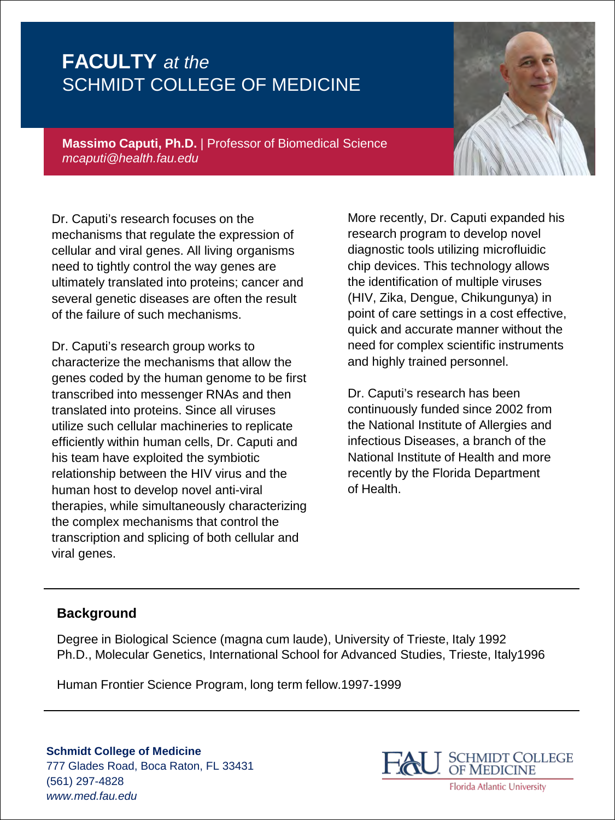**Massimo Caputi, Ph.D.** | Professor of Biomedical Science *mcaputi@health.fau.edu*

Dr. Caputi's research focuses on the mechanisms that regulate the expression of cellular and viral genes. All living organisms need to tightly control the way genes are ultimately translated into proteins; cancer and several genetic diseases are often the result of the failure of such mechanisms.

Dr. Caputi's research group works to characterize the mechanisms that allow the genes coded by the human genome to be first transcribed into messenger RNAs and then translated into proteins. Since all viruses utilize such cellular machineries to replicate efficiently within human cells, Dr. Caputi and his team have exploited the symbiotic relationship between the HIV virus and the human host to develop novel anti-viral therapies, while simultaneously characterizing the complex mechanisms that control the transcription and splicing of both cellular and viral genes.

More recently, Dr. Caputi expanded his research program to develop novel diagnostic tools utilizing microfluidic chip devices. This technology allows the identification of multiple viruses (HIV, Zika, Dengue, Chikungunya) in point of care settings in a cost effective, quick and accurate manner without the need for complex scientific instruments and highly trained personnel.

Dr. Caputi's research has been continuously funded since 2002 from the National Institute of Allergies and infectious Diseases, a branch of the National Institute of Health and more recently by the Florida Department of Health.

#### **Background**

Degree in Biological Science (magna cum laude), University of Trieste, Italy 1992 Ph.D., Molecular Genetics, International School for Advanced Studies, Trieste, Italy1996

Human Frontier Science Program, long term fellow.1997-1999



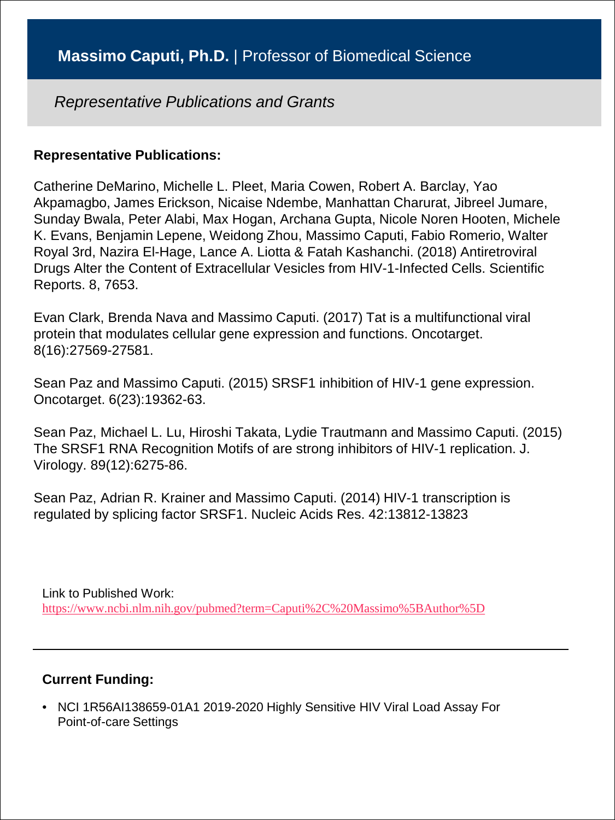#### **Representative Publications:**

Catherine DeMarino, Michelle L. Pleet, Maria Cowen, Robert A. Barclay, Yao Akpamagbo, James Erickson, Nicaise Ndembe, Manhattan Charurat, Jibreel Jumare, Sunday Bwala, Peter Alabi, Max Hogan, Archana Gupta, Nicole Noren Hooten, Michele K. Evans, Benjamin Lepene, Weidong Zhou, Massimo Caputi, Fabio Romerio, Walter Royal 3rd, Nazira El-Hage, Lance A. Liotta & Fatah Kashanchi. (2018) Antiretroviral Drugs Alter the Content of Extracellular Vesicles from HIV-1-Infected Cells. Scientific Reports. 8, 7653.

Evan Clark, Brenda Nava and Massimo Caputi. (2017) Tat is a multifunctional viral protein that modulates cellular gene expression and functions. Oncotarget. 8(16):27569-27581.

Sean Paz and Massimo Caputi. (2015) SRSF1 inhibition of HIV-1 gene expression. Oncotarget. 6(23):19362-63.

Sean Paz, Michael L. Lu, Hiroshi Takata, Lydie Trautmann and Massimo Caputi. (2015) The SRSF1 RNA Recognition Motifs of are strong inhibitors of HIV-1 replication. J. Virology. 89(12):6275-86.

Sean Paz, Adrian R. Krainer and Massimo Caputi. (2014) HIV-1 transcription is regulated by splicing factor SRSF1. Nucleic Acids Res. 42:13812-13823

Link to Published Work: <https://www.ncbi.nlm.nih.gov/pubmed?term=Caputi%2C%20Massimo%5BAuthor%5D>

#### **Current Funding:**

• NCI 1R56AI138659-01A1 2019-2020 Highly Sensitive HIV Viral Load Assay For Point-of-care Settings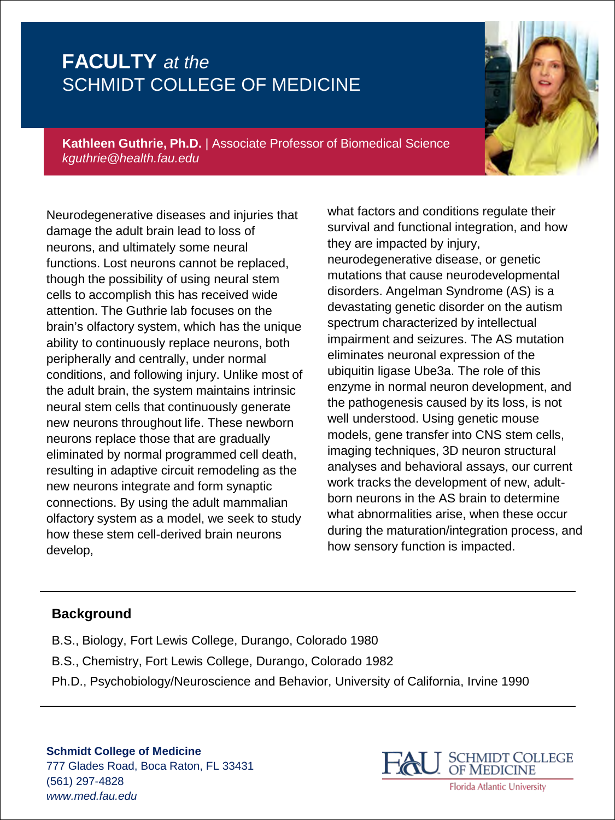

**Kathleen Guthrie, Ph.D.** | Associate Professor of Biomedical Science *kguthrie@health.fau.edu*

Neurodegenerative diseases and injuries that damage the adult brain lead to loss of neurons, and ultimately some neural functions. Lost neurons cannot be replaced, though the possibility of using neural stem cells to accomplish this has received wide attention. The Guthrie lab focuses on the brain's olfactory system, which has the unique ability to continuously replace neurons, both peripherally and centrally, under normal conditions, and following injury. Unlike most of the adult brain, the system maintains intrinsic neural stem cells that continuously generate new neurons throughout life. These newborn neurons replace those that are gradually eliminated by normal programmed cell death, resulting in adaptive circuit remodeling as the new neurons integrate and form synaptic connections. By using the adult mammalian olfactory system as a model, we seek to study how these stem cell-derived brain neurons develop,

what factors and conditions regulate their survival and functional integration, and how they are impacted by injury, neurodegenerative disease, or genetic mutations that cause neurodevelopmental disorders. Angelman Syndrome (AS) is a devastating genetic disorder on the autism spectrum characterized by intellectual impairment and seizures. The AS mutation eliminates neuronal expression of the ubiquitin ligase Ube3a. The role of this enzyme in normal neuron development, and the pathogenesis caused by its loss, is not well understood. Using genetic mouse models, gene transfer into CNS stem cells, imaging techniques, 3D neuron structural analyses and behavioral assays, our current work tracks the development of new, adultborn neurons in the AS brain to determine what abnormalities arise, when these occur during the maturation/integration process, and how sensory function is impacted.

#### **Background**

B.S., Biology, Fort Lewis College, Durango, Colorado 1980 B.S., Chemistry, Fort Lewis College, Durango, Colorado 1982 Ph.D., Psychobiology/Neuroscience and Behavior, University of California, Irvine 1990

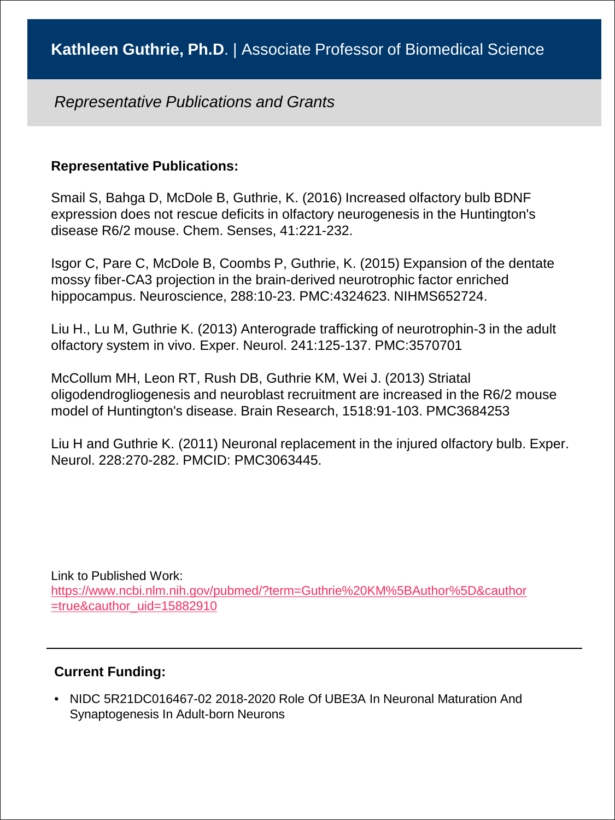### **Representative Publications:**

Smail S, Bahga D, McDole B, Guthrie, K. (2016) Increased olfactory bulb BDNF expression does not rescue deficits in olfactory neurogenesis in the Huntington's disease R6/2 mouse. Chem. Senses, 41:221-232.

Isgor C, Pare C, McDole B, Coombs P, Guthrie, K. (2015) Expansion of the dentate mossy fiber-CA3 projection in the brain-derived neurotrophic factor enriched hippocampus. Neuroscience, 288:10-23. PMC:4324623. NIHMS652724.

Liu H., Lu M, Guthrie K. (2013) Anterograde trafficking of neurotrophin-3 in the adult olfactory system in vivo. Exper. Neurol. 241:125-137. PMC:3570701

McCollum MH, Leon RT, Rush DB, Guthrie KM, Wei J. (2013) Striatal oligodendrogliogenesis and neuroblast recruitment are increased in the R6/2 mouse model of Huntington's disease. Brain Research, 1518:91-103. PMC3684253

Liu H and Guthrie K. (2011) Neuronal replacement in the injured olfactory bulb. Exper. Neurol. 228:270-282. PMCID: PMC3063445.

Link to Published Work: [https://www.ncbi.nlm.nih.gov/pubmed/?term=Guthrie%20KM%5BAuthor%5D&cauthor](https://www.ncbi.nlm.nih.gov/pubmed/?term=Guthrie%20KM%5BAuthor%5D&cauthor=true&cauthor_uid=15882910) =true&cauthor\_uid=15882910

#### **Current Funding:**

• NIDC 5R21DC016467-02 2018-2020 Role Of UBE3A In Neuronal Maturation And Synaptogenesis In Adult-born Neurons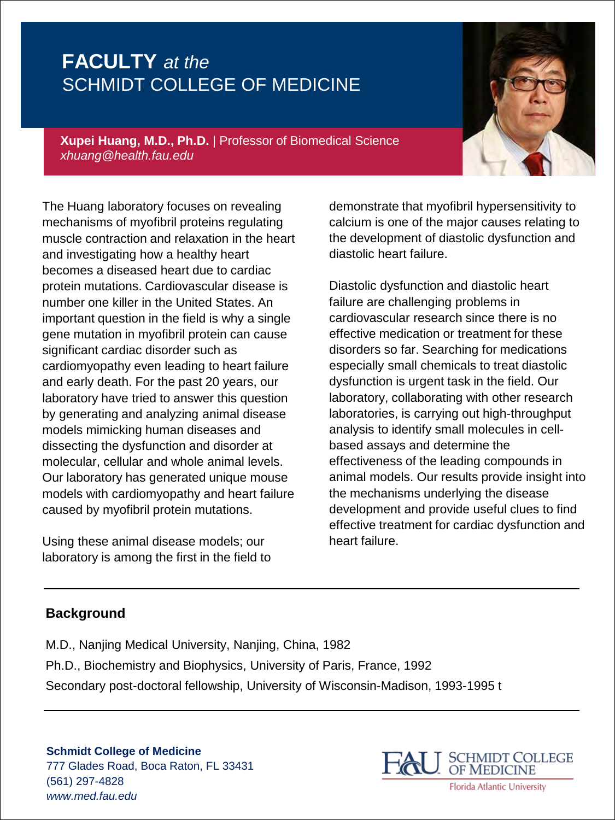**Xupei Huang, M.D., Ph.D.** | Professor of Biomedical Science *xhuang@health.fau.edu*

The Huang laboratory focuses on revealing mechanisms of myofibril proteins regulating muscle contraction and relaxation in the heart and investigating how a healthy heart becomes a diseased heart due to cardiac protein mutations. Cardiovascular disease is number one killer in the United States. An important question in the field is why a single gene mutation in myofibril protein can cause significant cardiac disorder such as cardiomyopathy even leading to heart failure and early death. For the past 20 years, our laboratory have tried to answer this question by generating and analyzing animal disease models mimicking human diseases and dissecting the dysfunction and disorder at molecular, cellular and whole animal levels. Our laboratory has generated unique mouse models with cardiomyopathy and heart failure caused by myofibril protein mutations.

Using these animal disease models; our laboratory is among the first in the field to

demonstrate that myofibril hypersensitivity to calcium is one of the major causes relating to the development of diastolic dysfunction and diastolic heart failure.

Diastolic dysfunction and diastolic heart failure are challenging problems in cardiovascular research since there is no effective medication or treatment for these disorders so far. Searching for medications especially small chemicals to treat diastolic dysfunction is urgent task in the field. Our laboratory, collaborating with other research laboratories, is carrying out high-throughput analysis to identify small molecules in cellbased assays and determine the effectiveness of the leading compounds in animal models. Our results provide insight into the mechanisms underlying the disease development and provide useful clues to find effective treatment for cardiac dysfunction and heart failure.

### **Background**

M.D., Nanjing Medical University, Nanjing, China, 1982 Ph.D., Biochemistry and Biophysics, University of Paris, France, 1992 Secondary post-doctoral fellowship, University of Wisconsin-Madison, 1993-1995 t

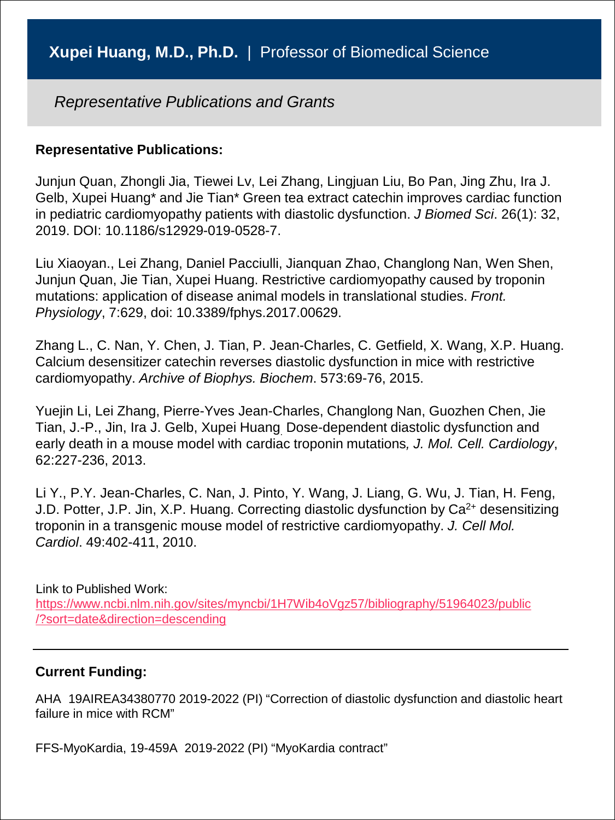#### **Representative Publications:**

Junjun Quan, Zhongli Jia, Tiewei Lv, Lei Zhang, Lingjuan Liu, Bo Pan, Jing Zhu, Ira J. Gelb, Xupei Huang\* and Jie Tian\* Green tea extract catechin improves cardiac function in pediatric cardiomyopathy patients with diastolic dysfunction. *J Biomed Sci*. 26(1): 32, 2019. DOI: 10.1186/s12929-019-0528-7.

Liu Xiaoyan., Lei Zhang, Daniel Pacciulli, Jianquan Zhao, Changlong Nan, Wen Shen, Junjun Quan, Jie Tian, Xupei Huang. Restrictive cardiomyopathy caused by troponin mutations: application of disease animal models in translational studies. *Front. Physiology*, 7:629, doi: 10.3389/fphys.2017.00629.

Zhang L., C. Nan, Y. Chen, J. Tian, P. Jean-Charles, C. Getfield, X. Wang, X.P. Huang. Calcium desensitizer catechin reverses diastolic dysfunction in mice with restrictive cardiomyopathy. *Archive of Biophys. Biochem*. 573:69-76, 2015.

Yuejin Li, Lei Zhang, Pierre-Yves Jean-Charles, Changlong Nan, Guozhen Chen, Jie Tian, J.-P., Jin, Ira J. Gelb, Xupei Huang. Dose-dependent diastolic dysfunction and early death in a mouse model with cardiac troponin mutations*, J. Mol. Cell. Cardiology*, 62:227-236, 2013.

Li Y., P.Y. Jean-Charles, C. Nan, J. Pinto, Y. Wang, J. Liang, G. Wu, J. Tian, H. Feng, J.D. Potter, J.P. Jin, X.P. Huang. Correcting diastolic dysfunction by  $Ca^{2+}$  desensitizing troponin in a transgenic mouse model of restrictive cardiomyopathy. *J. Cell Mol. Cardiol*. 49:402-411, 2010.

Link to Published Work:

[https://www.ncbi.nlm.nih.gov/sites/myncbi/1H7Wib4oVgz57/bibliography/51964023/public](https://www.ncbi.nlm.nih.gov/sites/myncbi/1H7Wib4oVgz57/bibliography/51964023/public/?sort=date&direction=descending) /?sort=date&direction=descending

#### **Current Funding:**

AHA 19AIREA34380770 2019-2022 (PI) "Correction of diastolic dysfunction and diastolic heart failure in mice with RCM"

FFS-MyoKardia, 19-459A 2019-2022 (PI) "MyoKardia contract"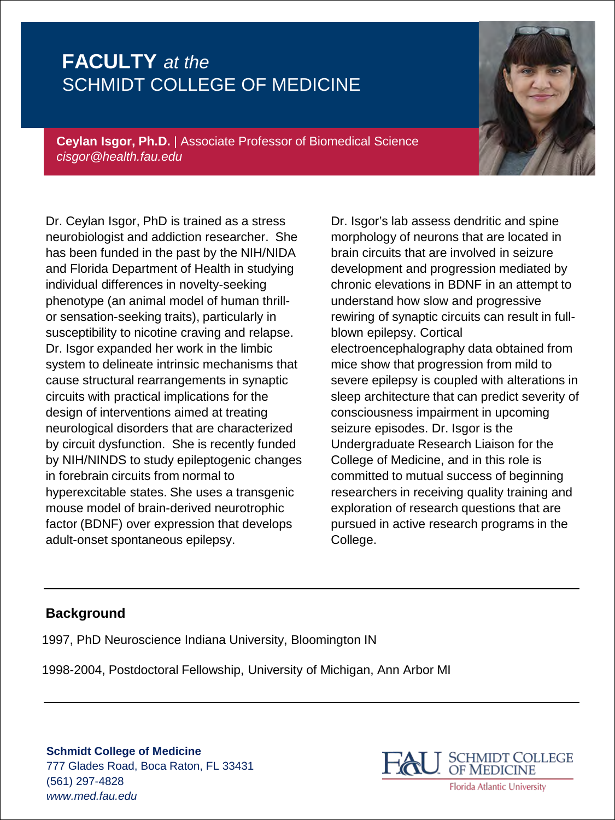

**Ceylan Isgor, Ph.D.** | Associate Professor of Biomedical Science *cisgor@health.fau.edu*

Dr. Ceylan Isgor, PhD is trained as a stress neurobiologist and addiction researcher. She has been funded in the past by the NIH/NIDA and Florida Department of Health in studying individual differences in novelty-seeking phenotype (an animal model of human thrillor sensation-seeking traits), particularly in susceptibility to nicotine craving and relapse. Dr. Isgor expanded her work in the limbic system to delineate intrinsic mechanisms that cause structural rearrangements in synaptic circuits with practical implications for the design of interventions aimed at treating neurological disorders that are characterized by circuit dysfunction. She is recently funded by NIH/NINDS to study epileptogenic changes in forebrain circuits from normal to hyperexcitable states. She uses a transgenic mouse model of brain-derived neurotrophic factor (BDNF) over expression that develops adult-onset spontaneous epilepsy.

Dr. Isgor's lab assess dendritic and spine morphology of neurons that are located in brain circuits that are involved in seizure development and progression mediated by chronic elevations in BDNF in an attempt to understand how slow and progressive rewiring of synaptic circuits can result in fullblown epilepsy. Cortical electroencephalography data obtained from mice show that progression from mild to severe epilepsy is coupled with alterations in sleep architecture that can predict severity of consciousness impairment in upcoming seizure episodes. Dr. Isgor is the Undergraduate Research Liaison for the College of Medicine, and in this role is committed to mutual success of beginning researchers in receiving quality training and exploration of research questions that are pursued in active research programs in the College.

#### **Background**

1997, PhD Neuroscience Indiana University, Bloomington IN

1998-2004, Postdoctoral Fellowship, University of Michigan, Ann Arbor MI



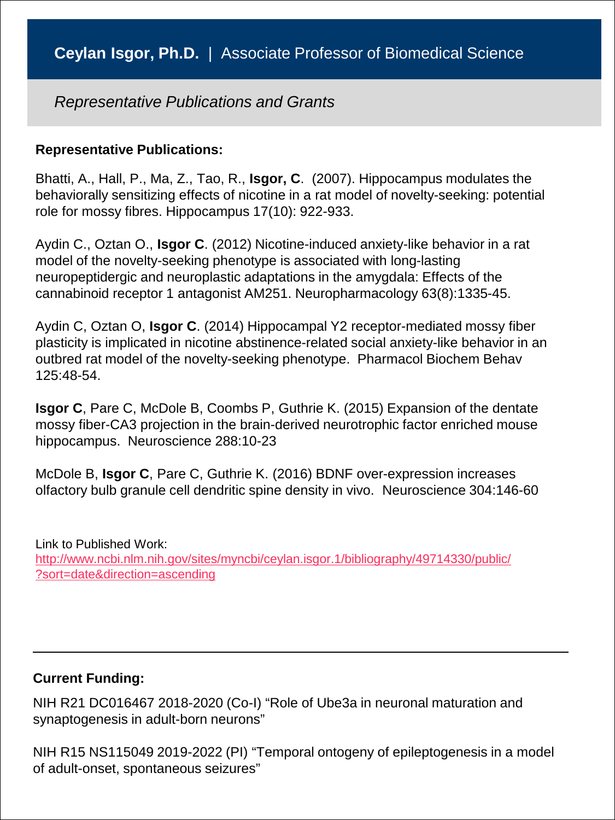#### **Representative Publications:**

Bhatti, A., Hall, P., Ma, Z., Tao, R., **Isgor, C**. (2007). Hippocampus modulates the behaviorally sensitizing effects of nicotine in a rat model of novelty-seeking: potential role for mossy fibres. Hippocampus 17(10): 922-933.

Aydin C., Oztan O., **Isgor C**. (2012) Nicotine-induced anxiety-like behavior in a rat model of the novelty-seeking phenotype is associated with long-lasting neuropeptidergic and neuroplastic adaptations in the amygdala: Effects of the cannabinoid receptor 1 antagonist AM251. Neuropharmacology 63(8):1335-45.

Aydin C, Oztan O, **Isgor C**. (2014) Hippocampal Y2 receptor-mediated mossy fiber plasticity is implicated in nicotine abstinence-related social anxiety-like behavior in an outbred rat model of the novelty-seeking phenotype. Pharmacol Biochem Behav 125:48-54.

**Isgor C**, Pare C, McDole B, Coombs P, Guthrie K. (2015) Expansion of the dentate mossy fiber-CA3 projection in the brain-derived neurotrophic factor enriched mouse hippocampus. Neuroscience 288:10-23

McDole B, **Isgor C**, Pare C, Guthrie K. (2016) BDNF over-expression increases olfactory bulb granule cell dendritic spine density in vivo. Neuroscience 304:146-60

Link to Published Work: [http://www.ncbi.nlm.nih.gov/sites/myncbi/ceylan.isgor.1/bibliography/49714330/public/](http://www.ncbi.nlm.nih.gov/sites/myncbi/ceylan.isgor.1/bibliography/49714330/public/?sort=date&direction=ascending) ?sort=date&direction=ascending

### **Current Funding:**

NIH R21 DC016467 2018-2020 (Co-I) "Role of Ube3a in neuronal maturation and synaptogenesis in adult-born neurons"

NIH R15 NS115049 2019-2022 (PI) "Temporal ontogeny of epileptogenesis in a model of adult-onset, spontaneous seizures"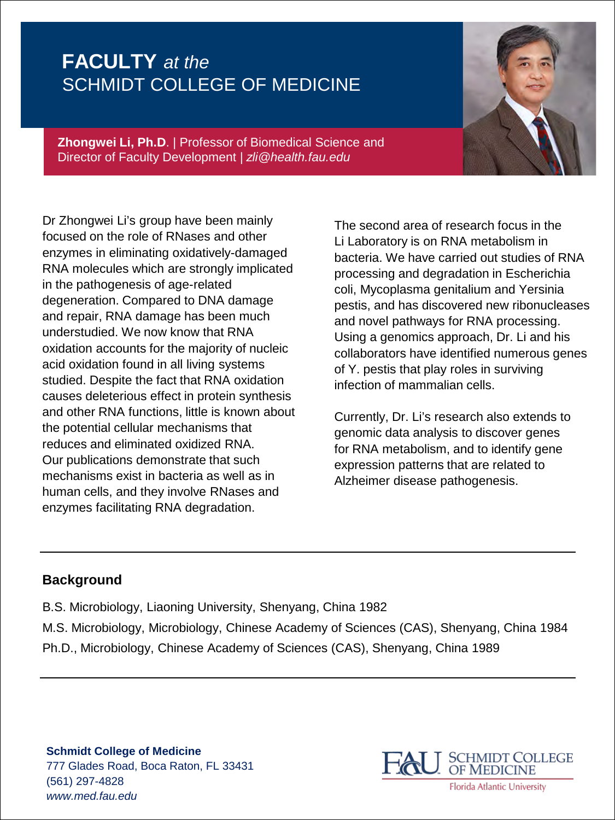

**Zhongwei Li, Ph.D**. | Professor of Biomedical Science and Director of Faculty Development *| zli@health.fau.edu*

Dr Zhongwei Li's group have been mainly focused on the role of RNases and other enzymes in eliminating oxidatively-damaged RNA molecules which are strongly implicated in the pathogenesis of age-related degeneration. Compared to DNA damage and repair, RNA damage has been much understudied. We now know that RNA oxidation accounts for the majority of nucleic acid oxidation found in all living systems studied. Despite the fact that RNA oxidation causes deleterious effect in protein synthesis and other RNA functions, little is known about the potential cellular mechanisms that reduces and eliminated oxidized RNA. Our publications demonstrate that such mechanisms exist in bacteria as well as in human cells, and they involve RNases and enzymes facilitating RNA degradation.

The second area of research focus in the Li Laboratory is on RNA metabolism in bacteria. We have carried out studies of RNA processing and degradation in Escherichia coli, Mycoplasma genitalium and Yersinia pestis, and has discovered new ribonucleases and novel pathways for RNA processing. Using a genomics approach, Dr. Li and his collaborators have identified numerous genes of Y. pestis that play roles in surviving infection of mammalian cells.

Currently, Dr. Li's research also extends to genomic data analysis to discover genes for RNA metabolism, and to identify gene expression patterns that are related to Alzheimer disease pathogenesis.

#### **Background**

- B.S. Microbiology, Liaoning University, Shenyang, China 1982
- M.S. Microbiology, Microbiology, Chinese Academy of Sciences (CAS), Shenyang, China 1984 Ph.D., Microbiology, Chinese Academy of Sciences (CAS), Shenyang, China 1989



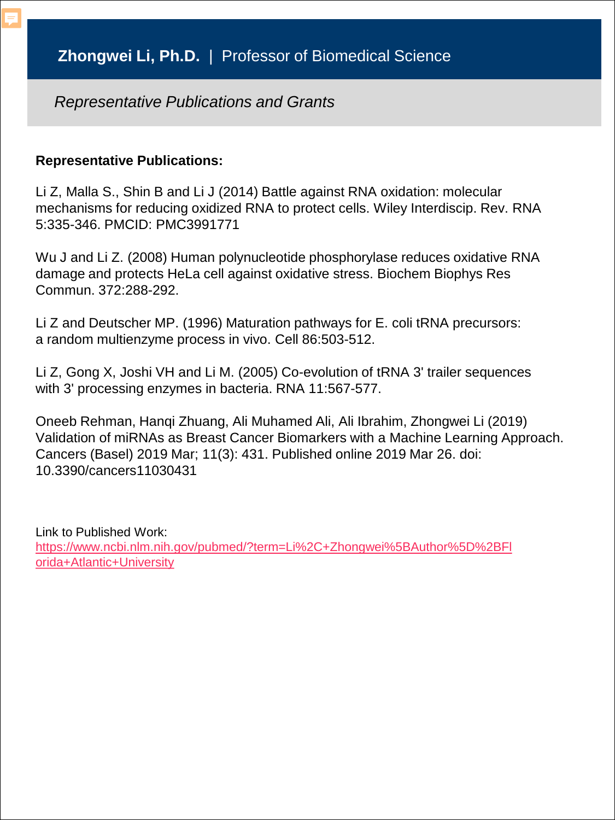### **Representative Publications:**

Li Z, Malla S., Shin B and Li J (2014) Battle against RNA oxidation: molecular mechanisms for reducing oxidized RNA to protect cells. Wiley Interdiscip. Rev. RNA 5:335-346. PMCID: PMC3991771

Wu J and Li Z. (2008) Human polynucleotide phosphorylase reduces oxidative RNA damage and protects HeLa cell against oxidative stress. Biochem Biophys Res Commun. 372:288-292.

Li Z and Deutscher MP. (1996) Maturation pathways for E. coli tRNA precursors: a random multienzyme process in vivo. Cell 86:503-512.

Li Z, Gong X, Joshi VH and Li M. (2005) Co-evolution of tRNA 3' trailer sequences with 3' processing enzymes in bacteria. RNA 11:567-577.

Oneeb Rehman, Hanqi Zhuang, Ali Muhamed Ali, Ali Ibrahim, Zhongwei Li (2019) Validation of miRNAs as Breast Cancer Biomarkers with a Machine Learning Approach. Cancers (Basel) 2019 Mar; 11(3): 431. Published online 2019 Mar 26. doi: 10.3390/cancers11030431

Link to Published Work: [https://www.ncbi.nlm.nih.gov/pubmed/?term=Li%2C+Zhongwei%5BAuthor%5D%2BFl](https://www.ncbi.nlm.nih.gov/pubmed/?term=Li%2C+Zhongwei%5BAuthor%5D%2BFlorida+Atlantic+University) orida+Atlantic+University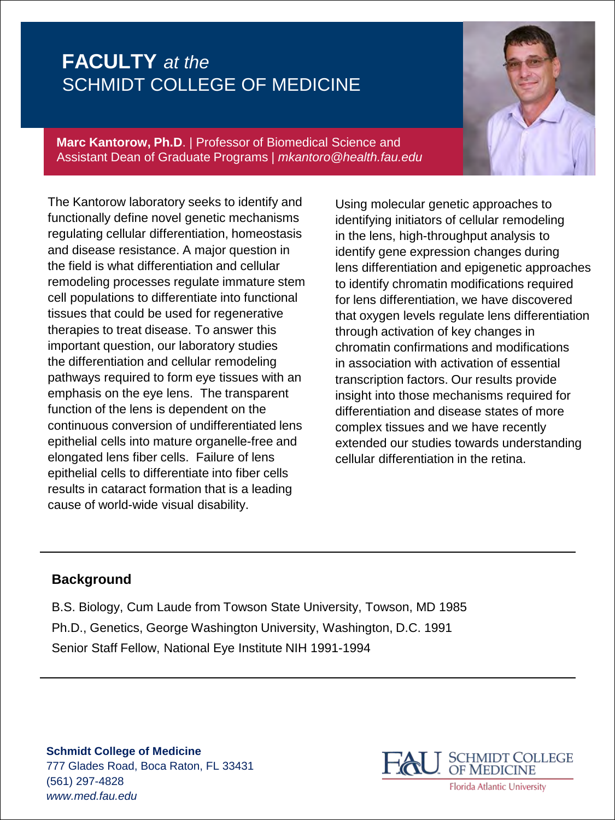**Marc Kantorow, Ph.D**. | Professor of Biomedical Science and Assistant Dean of Graduate Programs *| mkantoro@health.fau.edu*

The Kantorow laboratory seeks to identify and functionally define novel genetic mechanisms regulating cellular differentiation, homeostasis and disease resistance. A major question in the field is what differentiation and cellular remodeling processes regulate immature stem cell populations to differentiate into functional tissues that could be used for regenerative therapies to treat disease. To answer this important question, our laboratory studies the differentiation and cellular remodeling pathways required to form eye tissues with an emphasis on the eye lens. The transparent function of the lens is dependent on the continuous conversion of undifferentiated lens epithelial cells into mature organelle-free and elongated lens fiber cells. Failure of lens epithelial cells to differentiate into fiber cells results in cataract formation that is a leading cause of world-wide visual disability.

Using molecular genetic approaches to identifying initiators of cellular remodeling in the lens, high-throughput analysis to identify gene expression changes during lens differentiation and epigenetic approaches to identify chromatin modifications required for lens differentiation, we have discovered that oxygen levels regulate lens differentiation through activation of key changes in chromatin confirmations and modifications in association with activation of essential transcription factors. Our results provide insight into those mechanisms required for differentiation and disease states of more complex tissues and we have recently extended our studies towards understanding cellular differentiation in the retina.

#### **Background**

B.S. Biology, Cum Laude from Towson State University, Towson, MD 1985 Ph.D., Genetics, George Washington University, Washington, D.C. 1991 Senior Staff Fellow, National Eye Institute NIH 1991-1994

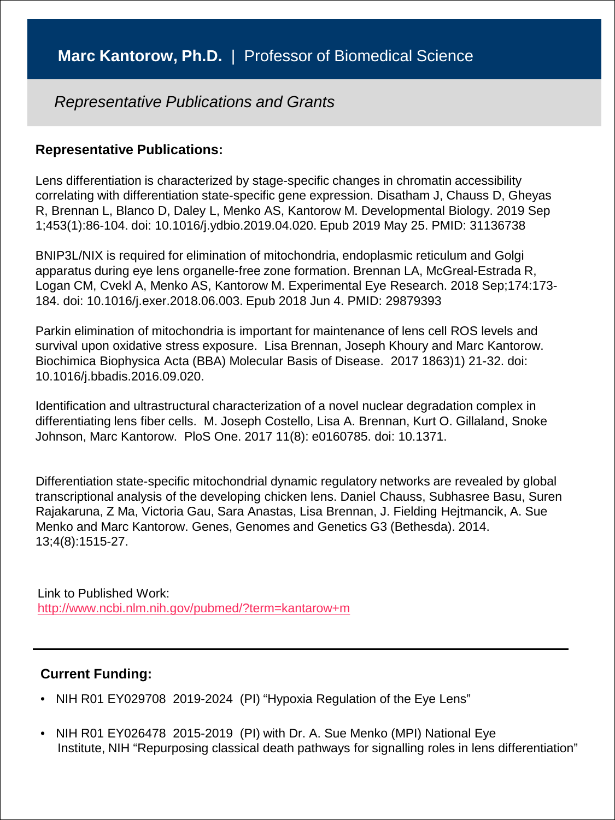#### **Representative Publications:**

Lens differentiation is characterized by stage-specific changes in chromatin accessibility correlating with differentiation state-specific gene expression. Disatham J, Chauss D, Gheyas R, Brennan L, Blanco D, Daley L, Menko AS, Kantorow M. Developmental Biology. 2019 Sep 1;453(1):86-104. doi: 10.1016/j.ydbio.2019.04.020. Epub 2019 May 25. PMID: 31136738

BNIP3L/NIX is required for elimination of mitochondria, endoplasmic reticulum and Golgi apparatus during eye lens organelle-free zone formation. Brennan LA, McGreal-Estrada R, Logan CM, Cvekl A, Menko AS, Kantorow M. Experimental Eye Research. 2018 Sep;174:173- 184. doi: 10.1016/j.exer.2018.06.003. Epub 2018 Jun 4. PMID: 29879393

Parkin elimination of mitochondria is important for maintenance of lens cell ROS levels and survival upon oxidative stress exposure. Lisa Brennan, Joseph Khoury and Marc Kantorow. Biochimica Biophysica Acta (BBA) Molecular Basis of Disease. 2017 1863)1) 21-32. doi: 10.1016/j.bbadis.2016.09.020.

Identification and ultrastructural characterization of a novel nuclear degradation complex in differentiating lens fiber cells. M. Joseph Costello, Lisa A. Brennan, Kurt O. Gillaland, Snoke Johnson, Marc Kantorow. PloS One. 2017 11(8): e0160785. doi: 10.1371.

Differentiation state-specific mitochondrial dynamic regulatory networks are revealed by global transcriptional analysis of the developing chicken lens. Daniel Chauss, Subhasree Basu, Suren Rajakaruna, Z Ma, Victoria Gau, Sara Anastas, Lisa Brennan, J. Fielding Hejtmancik, A. Sue Menko and Marc Kantorow. Genes, Genomes and Genetics G3 (Bethesda). 2014. 13;4(8):1515-27.

Link to Published Work: <http://www.ncbi.nlm.nih.gov/pubmed/?term=kantarow+m>

- NIH R01 EY029708 2019-2024 (PI) "Hypoxia Regulation of the Eye Lens"
- NIH R01 EY026478 2015-2019 (PI) with Dr. A. Sue Menko (MPI) National Eye Institute, NIH "Repurposing classical death pathways for signalling roles in lens differentiation"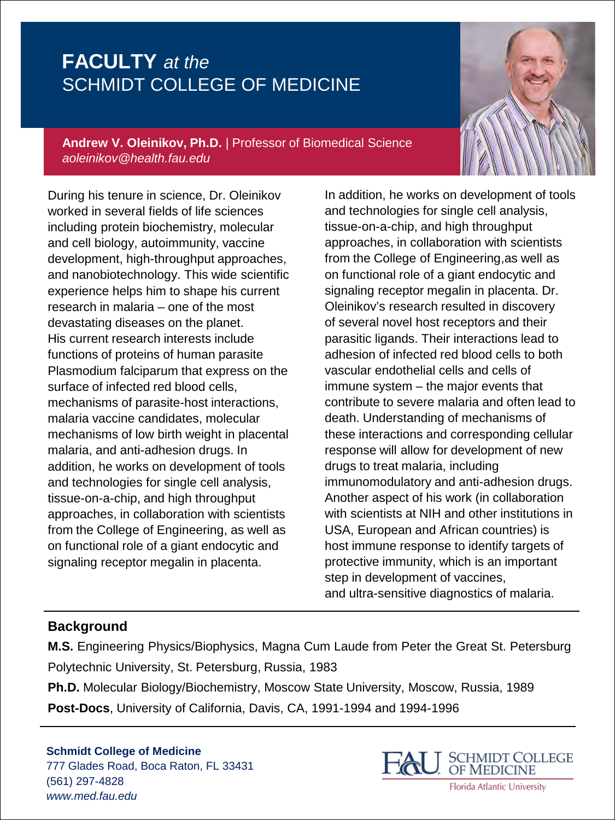

**Andrew V. Oleinikov, Ph.D.** *|* Professor of Biomedical Science *aoleinikov@health.fau.edu*

During his tenure in science, Dr. Oleinikov worked in several fields of life sciences including protein biochemistry, molecular and cell biology, autoimmunity, vaccine development, high-throughput approaches, and nanobiotechnology. This wide scientific experience helps him to shape his current research in malaria – one of the most devastating diseases on the planet. His current research interests include functions of proteins of human parasite Plasmodium falciparum that express on the surface of infected red blood cells, mechanisms of parasite-host interactions, malaria vaccine candidates, molecular mechanisms of low birth weight in placental malaria, and anti-adhesion drugs. In addition, he works on development of tools and technologies for single cell analysis, tissue-on-a-chip, and high throughput approaches, in collaboration with scientists from the College of Engineering, as well as on functional role of a giant endocytic and signaling receptor megalin in placenta.

In addition, he works on development of tools and technologies for single cell analysis, tissue-on-a-chip, and high throughput approaches, in collaboration with scientists from the College of Engineering,as well as on functional role of a giant endocytic and signaling receptor megalin in placenta. Dr. Oleinikov's research resulted in discovery of several novel host receptors and their parasitic ligands. Their interactions lead to adhesion of infected red blood cells to both vascular endothelial cells and cells of immune system – the major events that contribute to severe malaria and often lead to death. Understanding of mechanisms of these interactions and corresponding cellular response will allow for development of new drugs to treat malaria, including immunomodulatory and anti-adhesion drugs. Another aspect of his work (in collaboration with scientists at NIH and other institutions in USA, European and African countries) is host immune response to identify targets of protective immunity, which is an important step in development of vaccines, and ultra-sensitive diagnostics of malaria.

### **Background**

**M.S.** Engineering Physics/Biophysics, Magna Cum Laude from Peter the Great St. Petersburg Polytechnic University, St. Petersburg, Russia, 1983

**Ph.D.** Molecular Biology/Biochemistry, Moscow State University, Moscow, Russia, 1989 **Post-Docs**, University of California, Davis, CA, 1991-1994 and 1994-1996

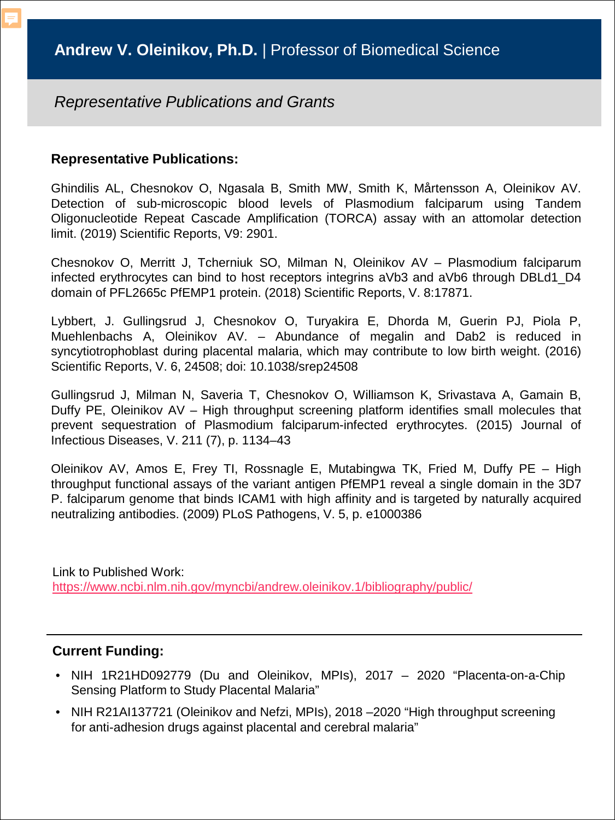#### **Representative Publications:**

Ghindilis AL, Chesnokov O, Ngasala B, Smith MW, Smith K, Mårtensson A, Oleinikov AV. Detection of sub-microscopic blood levels of Plasmodium falciparum using Tandem Oligonucleotide Repeat Cascade Amplification (TORCA) assay with an attomolar detection limit. (2019) Scientific Reports, V9: 2901.

Chesnokov O, Merritt J, Tcherniuk SO, Milman N, Oleinikov AV – Plasmodium falciparum infected erythrocytes can bind to host receptors integrins aVb3 and aVb6 through DBLd1\_D4 domain of PFL2665c PfEMP1 protein. (2018) Scientific Reports, V. 8:17871.

Lybbert, J. Gullingsrud J, Chesnokov O, Turyakira E, Dhorda M, Guerin PJ, Piola P, Muehlenbachs A, Oleinikov AV. – Abundance of megalin and Dab2 is reduced in syncytiotrophoblast during placental malaria, which may contribute to low birth weight. (2016) Scientific Reports, V. 6, 24508; doi: 10.1038/srep24508

Gullingsrud J, Milman N, Saveria T, Chesnokov O, Williamson K, Srivastava A, Gamain B, Duffy PE, Oleinikov AV – High throughput screening platform identifies small molecules that prevent sequestration of Plasmodium falciparum-infected erythrocytes. (2015) Journal of Infectious Diseases, V. 211 (7), p. 1134–43

Oleinikov AV, Amos E, Frey TI, Rossnagle E, Mutabingwa TK, Fried M, Duffy PE – High throughput functional assays of the variant antigen PfEMP1 reveal a single domain in the 3D7 P. falciparum genome that binds ICAM1 with high affinity and is targeted by naturally acquired neutralizing antibodies. (2009) PLoS Pathogens, V. 5, p. e1000386

Link to Published Work: <https://www.ncbi.nlm.nih.gov/myncbi/andrew.oleinikov.1/bibliography/public/>

- NIH 1R21HD092779 (Du and Oleinikov, MPIs), 2017 2020 "Placenta-on-a-Chip Sensing Platform to Study Placental Malaria"
- NIH R21AI137721 (Oleinikov and Nefzi, MPIs), 2018 –2020 "High throughput screening for anti-adhesion drugs against placental and cerebral malaria"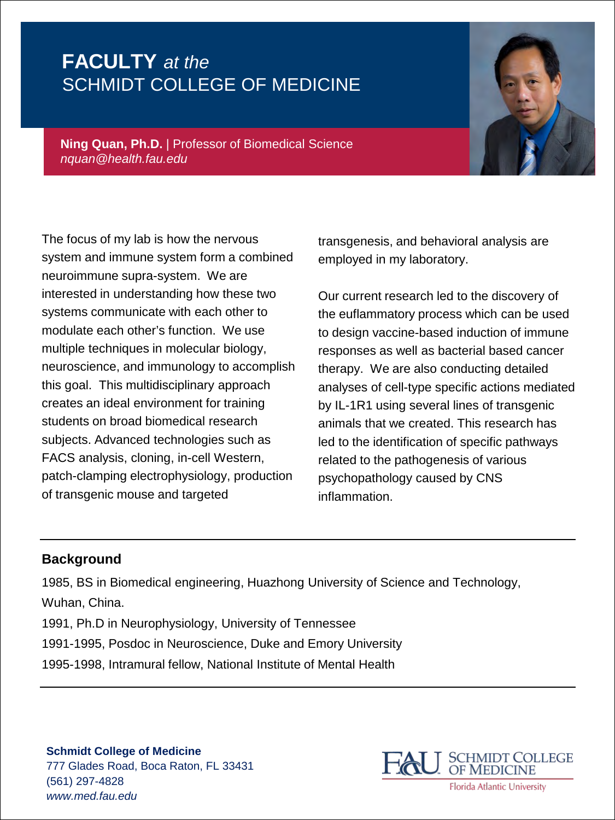

**Ning Quan, Ph.D.** | Professor of Biomedical Science *nquan@health.fau.edu*

The focus of my lab is how the nervous system and immune system form a combined neuroimmune supra-system. We are interested in understanding how these two systems communicate with each other to modulate each other's function. We use multiple techniques in molecular biology, neuroscience, and immunology to accomplish this goal. This multidisciplinary approach creates an ideal environment for training students on broad biomedical research subjects. Advanced technologies such as FACS analysis, cloning, in-cell Western, patch-clamping electrophysiology, production of transgenic mouse and targeted

transgenesis, and behavioral analysis are employed in my laboratory.

Our current research led to the discovery of the euflammatory process which can be used to design vaccine-based induction of immune responses as well as bacterial based cancer therapy. We are also conducting detailed analyses of cell-type specific actions mediated by IL-1R1 using several lines of transgenic animals that we created. This research has led to the identification of specific pathways related to the pathogenesis of various psychopathology caused by CNS inflammation.

#### **Background**

1985, BS in Biomedical engineering, Huazhong University of Science and Technology, Wuhan, China.

- 1991, Ph.D in Neurophysiology, University of Tennessee
- 1991-1995, Posdoc in Neuroscience, Duke and Emory University
- 1995-1998, Intramural fellow, National Institute of Mental Health

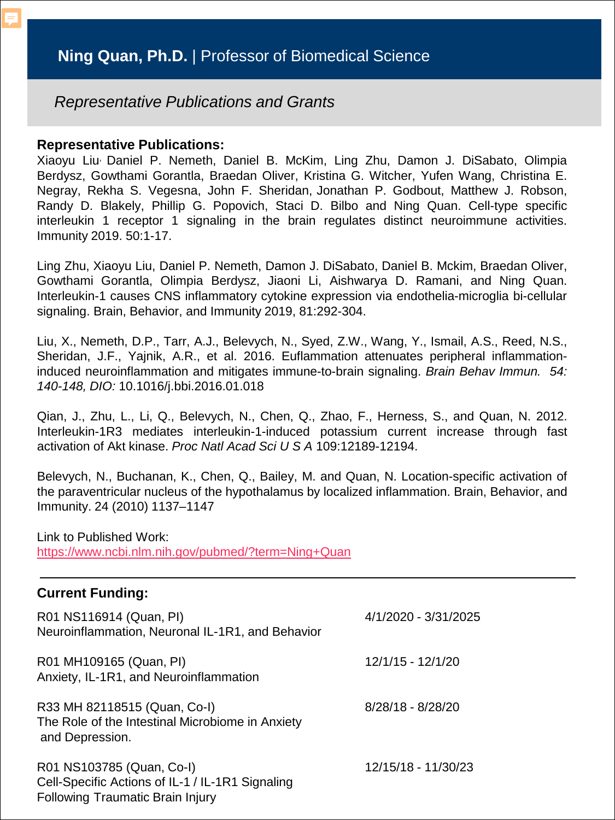#### **Representative Publications:**

Xiaoyu Liu, Daniel P. Nemeth, Daniel B. McKim, Ling Zhu, Damon J. DiSabato, Olimpia Berdysz, Gowthami Gorantla, Braedan Oliver, Kristina G. Witcher, Yufen Wang, Christina E. Negray, Rekha S. Vegesna, John F. Sheridan, Jonathan P. Godbout, Matthew J. Robson, Randy D. Blakely, Phillip G. Popovich, Staci D. Bilbo and Ning Quan. Cell-type specific interleukin 1 receptor 1 signaling in the brain regulates distinct neuroimmune activities. Immunity 2019. 50:1-17.

Ling Zhu, Xiaoyu Liu, Daniel P. Nemeth, Damon J. DiSabato, Daniel B. Mckim, Braedan Oliver, Gowthami Gorantla, Olimpia Berdysz, Jiaoni Li, Aishwarya D. Ramani, and Ning Quan. Interleukin-1 causes CNS inflammatory cytokine expression via endothelia-microglia bi-cellular signaling. Brain, Behavior, and Immunity 2019, 81:292-304.

Liu, X., Nemeth, D.P., Tarr, A.J., Belevych, N., Syed, Z.W., Wang, Y., Ismail, A.S., Reed, N.S., Sheridan, J.F., Yajnik, A.R., et al. 2016. Euflammation attenuates peripheral inflammationinduced neuroinflammation and mitigates immune-to-brain signaling. *Brain Behav Immun. 54: 140-148, DIO:* 10.1016/j.bbi.2016.01.018

Qian, J., Zhu, L., Li, Q., Belevych, N., Chen, Q., Zhao, F., Herness, S., and Quan, N. 2012. Interleukin-1R3 mediates interleukin-1-induced potassium current increase through fast activation of Akt kinase. *Proc Natl Acad Sci U S A* 109:12189-12194.

Belevych, N., Buchanan, K., Chen, Q., Bailey, M. and Quan, N. Location-specific activation of the paraventricular nucleus of the hypothalamus by localized inflammation. Brain, Behavior, and Immunity. 24 (2010) 1137–1147

Link to Published Work: <https://www.ncbi.nlm.nih.gov/pubmed/?term=Ning+Quan>

| R01 NS116914 (Quan, PI)<br>Neuroinflammation, Neuronal IL-1R1, and Behavior                                              | 4/1/2020 - 3/31/2025 |
|--------------------------------------------------------------------------------------------------------------------------|----------------------|
| R01 MH109165 (Quan, PI)<br>Anxiety, IL-1R1, and Neuroinflammation                                                        | 12/1/15 - 12/1/20    |
| R33 MH 82118515 (Quan, Co-I)<br>The Role of the Intestinal Microbiome in Anxiety<br>and Depression.                      | 8/28/18 - 8/28/20    |
| R01 NS103785 (Quan, Co-I)<br>Cell-Specific Actions of IL-1 / IL-1R1 Signaling<br><b>Following Traumatic Brain Injury</b> | 12/15/18 - 11/30/23  |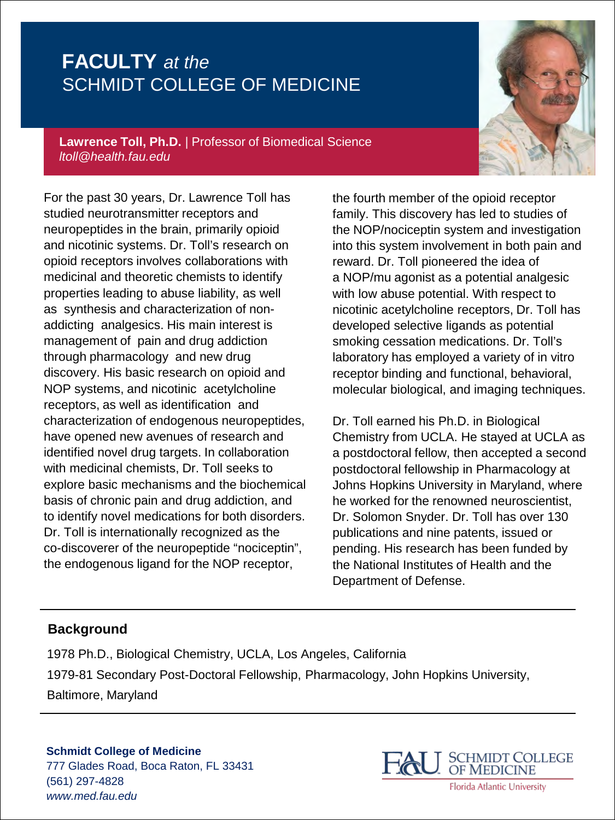**Lawrence Toll, Ph.D.** *|* Professor of Biomedical Science *ltoll@health.fau.edu*

For the past 30 years, Dr. Lawrence Toll has studied neurotransmitter receptors and neuropeptides in the brain, primarily opioid and nicotinic systems. Dr. Toll's research on opioid receptors involves collaborations with medicinal and theoretic chemists to identify properties leading to abuse liability, as well as synthesis and characterization of nonaddicting analgesics. His main interest is management of pain and drug addiction through pharmacology and new drug discovery. His basic research on opioid and NOP systems, and nicotinic acetylcholine receptors, as well as identification and characterization of endogenous neuropeptides, have opened new avenues of research and identified novel drug targets. In collaboration with medicinal chemists, Dr. Toll seeks to explore basic mechanisms and the biochemical basis of chronic pain and drug addiction, and to identify novel medications for both disorders. Dr. Toll is internationally recognized as the co-discoverer of the neuropeptide "nociceptin", the endogenous ligand for the NOP receptor,

the fourth member of the opioid receptor family. This discovery has led to studies of the NOP/nociceptin system and investigation into this system involvement in both pain and reward. Dr. Toll pioneered the idea of a NOP/mu agonist as a potential analgesic with low abuse potential. With respect to nicotinic acetylcholine receptors, Dr. Toll has developed selective ligands as potential smoking cessation medications. Dr. Toll's laboratory has employed a variety of in vitro receptor binding and functional, behavioral, molecular biological, and imaging techniques.

Dr. Toll earned his Ph.D. in Biological Chemistry from UCLA. He stayed at UCLA as a postdoctoral fellow, then accepted a second postdoctoral fellowship in Pharmacology at Johns Hopkins University in Maryland, where he worked for the renowned neuroscientist, Dr. Solomon Snyder. Dr. Toll has over 130 publications and nine patents, issued or pending. His research has been funded by the National Institutes of Health and the Department of Defense.

### **Background**

1978 Ph.D., Biological Chemistry, UCLA, Los Angeles, California 1979-81 Secondary Post-Doctoral Fellowship, Pharmacology, John Hopkins University, Baltimore, Maryland

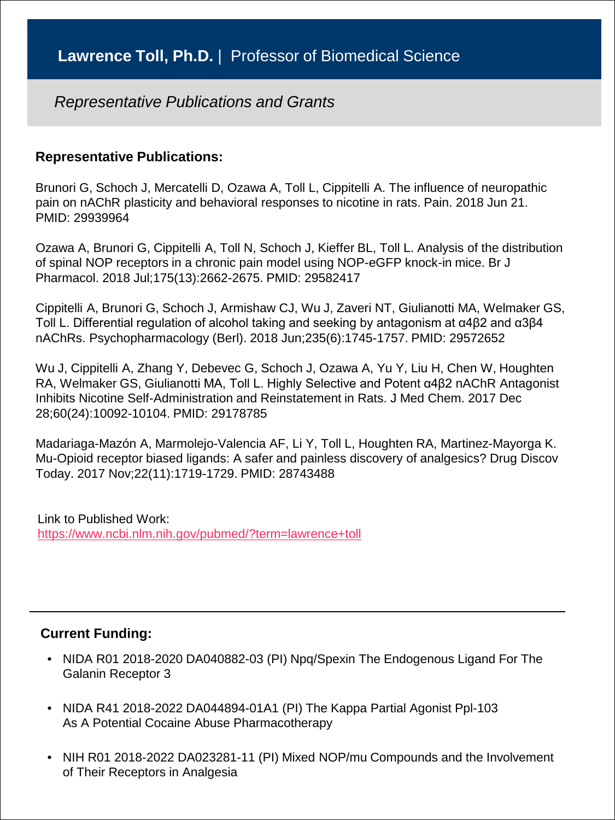#### **Representative Publications:**

Brunori G, Schoch J, Mercatelli D, Ozawa A, Toll L, Cippitelli A. The influence of neuropathic pain on nAChR plasticity and behavioral responses to nicotine in rats. Pain. 2018 Jun 21. PMID: 29939964

Ozawa A, Brunori G, Cippitelli A, Toll N, Schoch J, Kieffer BL, Toll L. Analysis of the distribution of spinal NOP receptors in a chronic pain model using NOP-eGFP knock-in mice. Br J Pharmacol. 2018 Jul;175(13):2662-2675. PMID: 29582417

Cippitelli A, Brunori G, Schoch J, Armishaw CJ, Wu J, Zaveri NT, Giulianotti MA, Welmaker GS, Toll L. Differential regulation of alcohol taking and seeking by antagonism at α4β2 and α3β4 nAChRs. Psychopharmacology (Berl). 2018 Jun;235(6):1745-1757. PMID: 29572652

Wu J, Cippitelli A, Zhang Y, Debevec G, Schoch J, Ozawa A, Yu Y, Liu H, Chen W, Houghten RA, Welmaker GS, Giulianotti MA, Toll L. Highly Selective and Potent α4β2 nAChR Antagonist Inhibits Nicotine Self-Administration and Reinstatement in Rats. J Med Chem. 2017 Dec 28;60(24):10092-10104. PMID: 29178785

Madariaga-Mazón A, Marmolejo-Valencia AF, Li Y, Toll L, Houghten RA, Martinez-Mayorga K. Mu-Opioid receptor biased ligands: A safer and painless discovery of analgesics? Drug Discov Today. 2017 Nov;22(11):1719-1729. PMID: 28743488

Link to Published Work: <https://www.ncbi.nlm.nih.gov/pubmed/?term=lawrence+toll>

- NIDA R01 2018-2020 DA040882-03 (PI) Npq/Spexin The Endogenous Ligand For The Galanin Receptor 3
- NIDA R41 2018-2022 DA044894-01A1 (PI) The Kappa Partial Agonist Ppl-103 As A Potential Cocaine Abuse Pharmacotherapy
- NIH R01 2018-2022 DA023281-11 (PI) Mixed NOP/mu Compounds and the Involvement of Their Receptors in Analgesia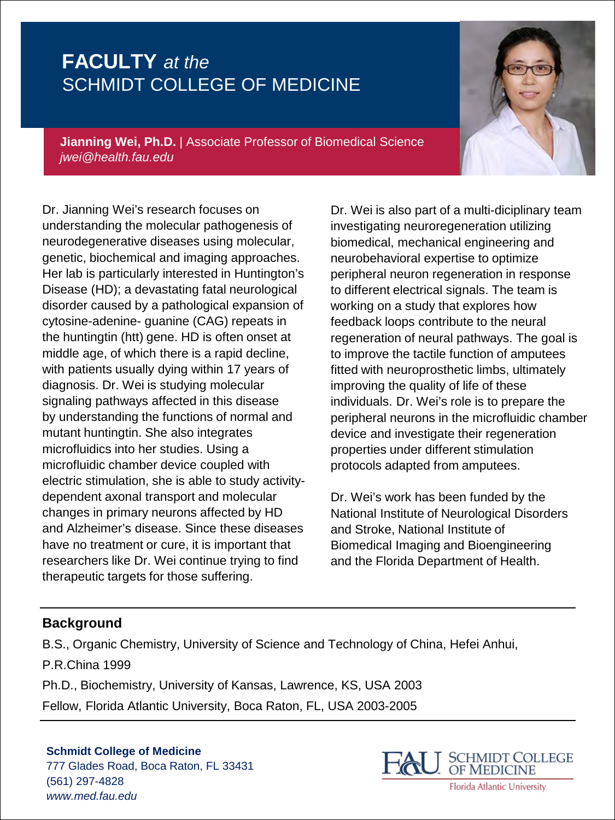**Jianning Wei, Ph.D.** | Associate Professor of Biomedical Science *jwei@health.fau.edu*

Dr. Jianning Wei's research focuses on understanding the molecular pathogenesis of neurodegenerative diseases using molecular, genetic, biochemical and imaging approaches. Her lab is particularly interested in Huntington's Disease (HD); a devastating fatal neurological disorder caused by a pathological expansion of cytosine-adenine- guanine (CAG) repeats in the huntingtin (htt) gene. HD is often onset at middle age, of which there is a rapid decline, with patients usually dying within 17 years of diagnosis. Dr. Wei is studying molecular signaling pathways affected in this disease by understanding the functions of normal and mutant huntingtin. She also integrates microfluidics into her studies. Using a microfluidic chamber device coupled with electric stimulation, she is able to study activitydependent axonal transport and molecular changes in primary neurons affected by HD and Alzheimer's disease. Since these diseases have no treatment or cure, it is important that researchers like Dr. Wei continue trying to find therapeutic targets for those suffering.

Dr. Wei is also part of a multi-diciplinary team investigating neuroregeneration utilizing biomedical, mechanical engineering and neurobehavioral expertise to optimize peripheral neuron regeneration in response to different electrical signals. The team is working on a study that explores how feedback loops contribute to the neural regeneration of neural pathways. The goal is to improve the tactile function of amputees fitted with neuroprosthetic limbs, ultimately improving the quality of life of these individuals. Dr. Wei's role is to prepare the peripheral neurons in the microfluidic chamber device and investigate their regeneration properties under different stimulation protocols adapted from amputees.

Dr. Wei's work has been funded by the National Institute of Neurological Disorders and Stroke, National Institute of Biomedical Imaging and Bioengineering and the Florida Department of Health.

#### **Background**

B.S., Organic Chemistry, University of Science and Technology of China, Hefei Anhui, P.R.China 1999

Ph.D., Biochemistry, University of Kansas, Lawrence, KS, USA 2003

Fellow, Florida Atlantic University, Boca Raton, FL, USA 2003-2005

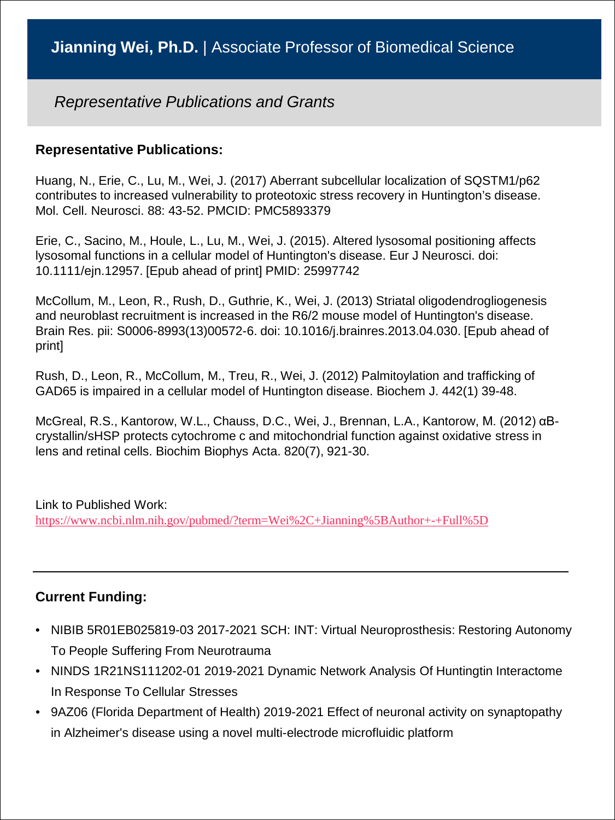#### **Representative Publications:**

Huang, N., Erie, C., Lu, M., Wei, J. (2017) Aberrant subcellular localization of SQSTM1/p62 contributes to increased vulnerability to proteotoxic stress recovery in Huntington's disease. Mol. Cell. Neurosci. 88: 43-52. PMCID: PMC5893379

Erie, C., Sacino, M., Houle, L., Lu, M., Wei, J. (2015). Altered lysosomal positioning affects lysosomal functions in a cellular model of Huntington's disease. Eur J Neurosci. doi: 10.1111/ejn.12957. [Epub ahead of print] PMID: 25997742

McCollum, M., Leon, R., Rush, D., Guthrie, K., Wei, J. (2013) Striatal oligodendrogliogenesis and neuroblast recruitment is increased in the R6/2 mouse model of Huntington's disease. Brain Res. pii: S0006-8993(13)00572-6. doi: 10.1016/j.brainres.2013.04.030. [Epub ahead of print]

Rush, D., Leon, R., McCollum, M., Treu, R., Wei, J. (2012) Palmitoylation and trafficking of GAD65 is impaired in a cellular model of Huntington disease. Biochem J. 442(1) 39-48.

McGreal, R.S., Kantorow, W.L., Chauss, D.C., Wei, J., Brennan, L.A., Kantorow, M. (2012) αBcrystallin/sHSP protects cytochrome c and mitochondrial function against oxidative stress in lens and retinal cells. Biochim Biophys Acta. 820(7), 921-30.

#### Link to Published Work: <https://www.ncbi.nlm.nih.gov/pubmed/?term=Wei%2C+Jianning%5BAuthor+-+Full%5D>

- NIBIB 5R01EB025819-03 2017-2021 SCH: INT: Virtual Neuroprosthesis: Restoring Autonomy To People Suffering From Neurotrauma
- NINDS 1R21NS111202-01 2019-2021 Dynamic Network Analysis Of Huntingtin Interactome In Response To Cellular Stresses
- 9AZ06 (Florida Department of Health) 2019-2021 Effect of neuronal activity on synaptopathy in Alzheimer's disease using a novel multi-electrode microfluidic platform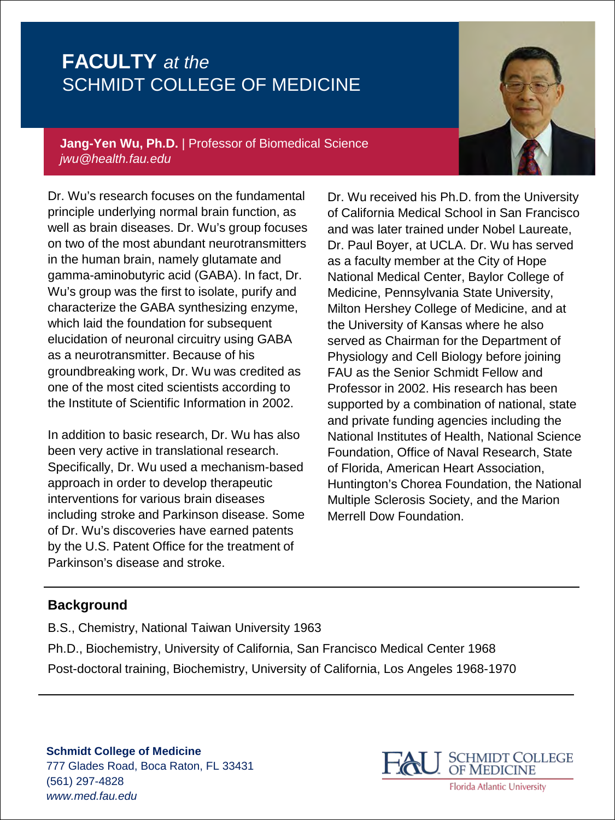**Jang-Yen Wu, Ph.D.** | Professor of Biomedical Science *jwu@health.fau.edu*

Dr. Wu's research focuses on the fundamental principle underlying normal brain function, as well as brain diseases. Dr. Wu's group focuses on two of the most abundant neurotransmitters in the human brain, namely glutamate and gamma-aminobutyric acid (GABA). In fact, Dr. Wu's group was the first to isolate, purify and characterize the GABA synthesizing enzyme, which laid the foundation for subsequent elucidation of neuronal circuitry using GABA as a neurotransmitter. Because of his groundbreaking work, Dr. Wu was credited as one of the most cited scientists according to the Institute of Scientific Information in 2002.

In addition to basic research, Dr. Wu has also been very active in translational research. Specifically, Dr. Wu used a mechanism-based approach in order to develop therapeutic interventions for various brain diseases including stroke and Parkinson disease. Some of Dr. Wu's discoveries have earned patents by the U.S. Patent Office for the treatment of Parkinson's disease and stroke.

Dr. Wu received his Ph.D. from the University of California Medical School in San Francisco and was later trained under Nobel Laureate, Dr. Paul Boyer, at UCLA. Dr. Wu has served as a faculty member at the City of Hope National Medical Center, Baylor College of Medicine, Pennsylvania State University, Milton Hershey College of Medicine, and at the University of Kansas where he also served as Chairman for the Department of Physiology and Cell Biology before joining FAU as the Senior Schmidt Fellow and Professor in 2002. His research has been supported by a combination of national, state and private funding agencies including the National Institutes of Health, National Science Foundation, Office of Naval Research, State of Florida, American Heart Association, Huntington's Chorea Foundation, the National Multiple Sclerosis Society, and the Marion Merrell Dow Foundation.

### **Background**

B.S., Chemistry, National Taiwan University 1963 Ph.D., Biochemistry, University of California, San Francisco Medical Center 1968 Post-doctoral training, Biochemistry, University of California, Los Angeles 1968-1970